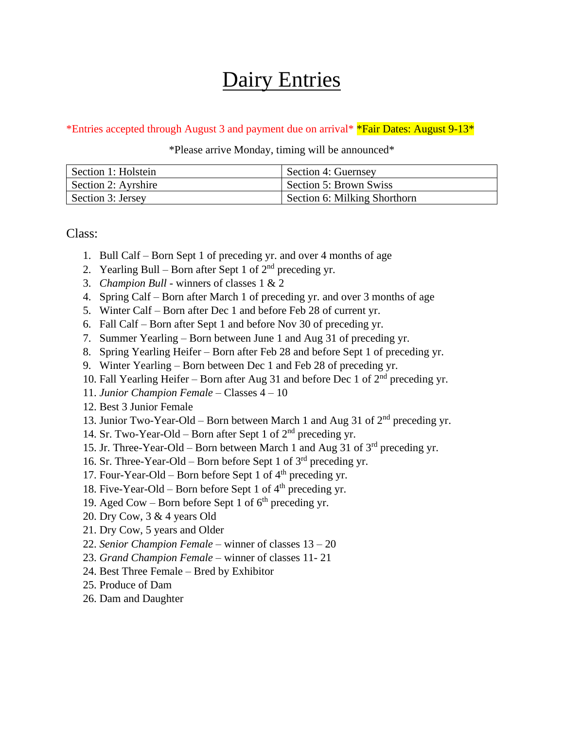## Dairy Entries

## \*Entries accepted through August 3 and payment due on arrival\* **\*Fair Dates: August 9-13**\*

## \*Please arrive Monday, timing will be announced\*

| Section 1: Holstein | Section 4: Guernsey          |
|---------------------|------------------------------|
| Section 2: Ayrshire | Section 5: Brown Swiss       |
| Section 3: Jersey   | Section 6: Milking Shorthorn |

Class:

- 1. Bull Calf Born Sept 1 of preceding yr. and over 4 months of age
- 2. Yearling Bull Born after Sept 1 of  $2<sup>nd</sup>$  preceding yr.
- 3. *Champion Bull* winners of classes 1 & 2
- 4. Spring Calf Born after March 1 of preceding yr. and over 3 months of age
- 5. Winter Calf Born after Dec 1 and before Feb 28 of current yr.
- 6. Fall Calf Born after Sept 1 and before Nov 30 of preceding yr.
- 7. Summer Yearling Born between June 1 and Aug 31 of preceding yr.
- 8. Spring Yearling Heifer Born after Feb 28 and before Sept 1 of preceding yr.
- 9. Winter Yearling Born between Dec 1 and Feb 28 of preceding yr.
- 10. Fall Yearling Heifer Born after Aug 31 and before Dec 1 of  $2<sup>nd</sup>$  preceding yr.
- 11. *Junior Champion Female* Classes 4 10
- 12. Best 3 Junior Female
- 13. Junior Two-Year-Old Born between March 1 and Aug 31 of  $2<sup>nd</sup>$  preceding yr.
- 14. Sr. Two-Year-Old Born after Sept 1 of 2nd preceding yr.
- 15. Jr. Three-Year-Old Born between March 1 and Aug 31 of  $3<sup>rd</sup>$  preceding yr.
- 16. Sr. Three-Year-Old Born before Sept 1 of  $3<sup>rd</sup>$  preceding yr.
- 17. Four-Year-Old Born before Sept 1 of  $4<sup>th</sup>$  preceding yr.
- 18. Five-Year-Old Born before Sept 1 of  $4<sup>th</sup>$  preceding yr.
- 19. Aged Cow Born before Sept 1 of  $6<sup>th</sup>$  preceding yr.
- 20. Dry Cow, 3 & 4 years Old
- 21. Dry Cow, 5 years and Older
- 22. *Senior Champion Female* winner of classes 13 20
- 23. *Grand Champion Female* winner of classes 11- 21
- 24. Best Three Female Bred by Exhibitor
- 25. Produce of Dam
- 26. Dam and Daughter